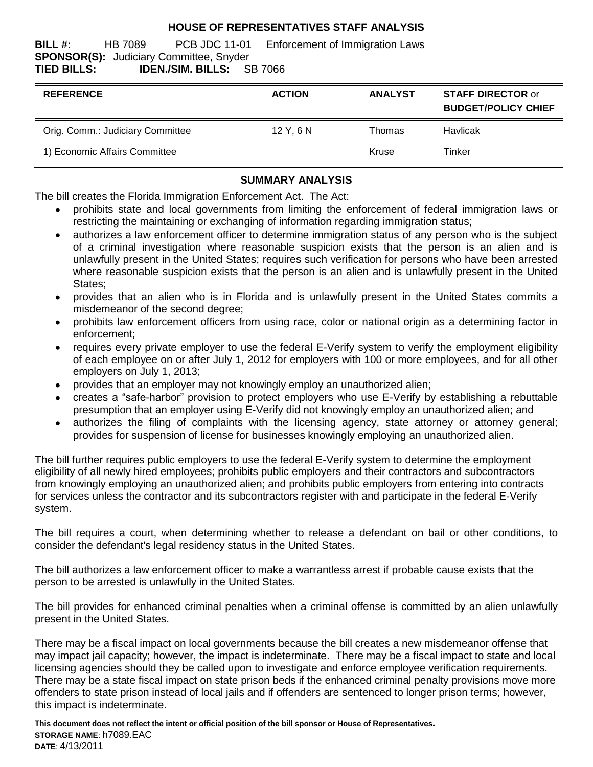## **HOUSE OF REPRESENTATIVES STAFF ANALYSIS**

**BILL #:** HB 7089 PCB JDC 11-01 Enforcement of Immigration Laws **SPONSOR(S):** Judiciary Committee, Snyder **TIED BILLS: IDEN./SIM. BILLS:** SB 7066

| <b>REFERENCE</b>                 | <b>ACTION</b> | <b>ANALYST</b> | <b>STAFF DIRECTOR or</b><br><b>BUDGET/POLICY CHIEF</b> |
|----------------------------------|---------------|----------------|--------------------------------------------------------|
| Orig. Comm.: Judiciary Committee | 12Y.6N        | Thomas         | Havlicak                                               |
| 1) Economic Affairs Committee    |               | Kruse          | Tinker                                                 |

## **SUMMARY ANALYSIS**

The bill creates the Florida Immigration Enforcement Act. The Act:

- prohibits state and local governments from limiting the enforcement of federal immigration laws or restricting the maintaining or exchanging of information regarding immigration status;
- authorizes a law enforcement officer to determine immigration status of any person who is the subject  $\bullet$ of a criminal investigation where reasonable suspicion exists that the person is an alien and is unlawfully present in the United States; requires such verification for persons who have been arrested where reasonable suspicion exists that the person is an alien and is unlawfully present in the United States;
- provides that an alien who is in Florida and is unlawfully present in the United States commits a misdemeanor of the second degree;
- prohibits law enforcement officers from using race, color or national origin as a determining factor in  $\bullet$ enforcement;
- requires every private employer to use the federal E-Verify system to verify the employment eligibility of each employee on or after July 1, 2012 for employers with 100 or more employees, and for all other employers on July 1, 2013;
- provides that an employer may not knowingly employ an unauthorized alien;
- creates a "safe-harbor" provision to protect employers who use E-Verify by establishing a rebuttable presumption that an employer using E-Verify did not knowingly employ an unauthorized alien; and
- authorizes the filing of complaints with the licensing agency, state attorney or attorney general;  $\bullet$ provides for suspension of license for businesses knowingly employing an unauthorized alien.

The bill further requires public employers to use the federal E-Verify system to determine the employment eligibility of all newly hired employees; prohibits public employers and their contractors and subcontractors from knowingly employing an unauthorized alien; and prohibits public employers from entering into contracts for services unless the contractor and its subcontractors register with and participate in the federal E-Verify system.

The bill requires a court, when determining whether to release a defendant on bail or other conditions, to consider the defendant's legal residency status in the United States.

The bill authorizes a law enforcement officer to make a warrantless arrest if probable cause exists that the person to be arrested is unlawfully in the United States.

The bill provides for enhanced criminal penalties when a criminal offense is committed by an alien unlawfully present in the United States.

There may be a fiscal impact on local governments because the bill creates a new misdemeanor offense that may impact jail capacity; however, the impact is indeterminate. There may be a fiscal impact to state and local licensing agencies should they be called upon to investigate and enforce employee verification requirements. There may be a state fiscal impact on state prison beds if the enhanced criminal penalty provisions move more offenders to state prison instead of local jails and if offenders are sentenced to longer prison terms; however, this impact is indeterminate.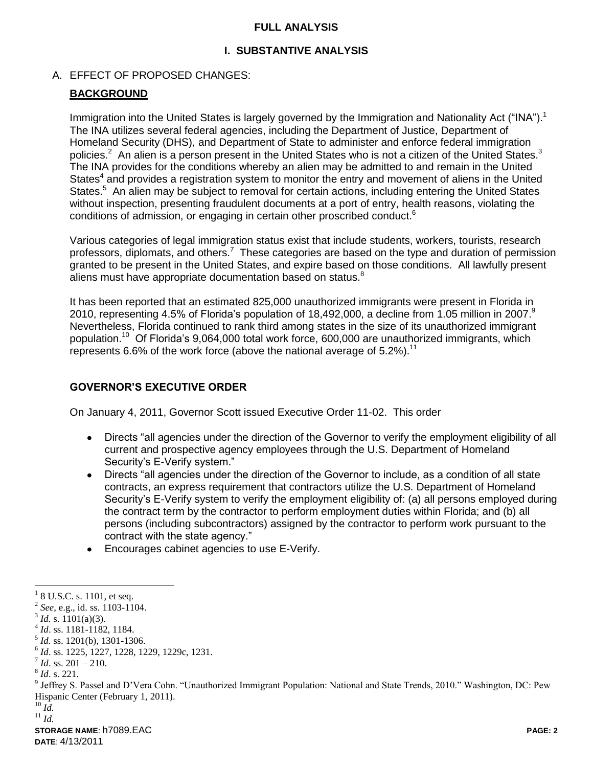#### **FULL ANALYSIS**

## **I. SUBSTANTIVE ANALYSIS**

### A. EFFECT OF PROPOSED CHANGES:

### **BACKGROUND**

Immigration into the United States is largely governed by the Immigration and Nationality Act ("INA").<sup>1</sup> The INA utilizes several federal agencies, including the Department of Justice, Department of Homeland Security (DHS), and Department of State to administer and enforce federal immigration policies.<sup>2</sup> An alien is a person present in the United States who is not a citizen of the United States.<sup>3</sup> The INA provides for the conditions whereby an alien may be admitted to and remain in the United States<sup>4</sup> and provides a registration system to monitor the entry and movement of aliens in the United States.<sup>5</sup> An alien may be subject to removal for certain actions, including entering the United States without inspection, presenting fraudulent documents at a port of entry, health reasons, violating the conditions of admission, or engaging in certain other proscribed conduct.<sup>6</sup>

Various categories of legal immigration status exist that include students, workers, tourists, research professors, diplomats, and others.<sup>7</sup> These categories are based on the type and duration of permission granted to be present in the United States, and expire based on those conditions. All lawfully present aliens must have appropriate documentation based on status. $8$ 

It has been reported that an estimated 825,000 unauthorized immigrants were present in Florida in 2010, representing 4.5% of Florida's population of 18,492,000, a decline from 1.05 million in 2007.<sup>9</sup> Nevertheless, Florida continued to rank third among states in the size of its unauthorized immigrant population.<sup>10</sup> Of Florida's 9,064,000 total work force, 600,000 are unauthorized immigrants, which represents 6.6% of the work force (above the national average of  $5.2\%$ ).<sup>11</sup>

### **GOVERNOR'S EXECUTIVE ORDER**

On January 4, 2011, Governor Scott issued Executive Order 11-02. This order

- Directs "all agencies under the direction of the Governor to verify the employment eligibility of all  $\bullet$ current and prospective agency employees through the U.S. Department of Homeland Security's E-Verify system."
- Directs "all agencies under the direction of the Governor to include, as a condition of all state contracts, an express requirement that contractors utilize the U.S. Department of Homeland Security's E-Verify system to verify the employment eligibility of: (a) all persons employed during the contract term by the contractor to perform employment duties within Florida; and (b) all persons (including subcontractors) assigned by the contractor to perform work pursuant to the contract with the state agency."
- Encourages cabinet agencies to use E-Verify.

 $18$  U.S.C. s. 1101, et seq.

 $2^{2}$  *See*, e.g., id. ss. 1103-1104.

 $3^3$  *Id.* s. 1101(a)(3).

<sup>4</sup> *Id*. ss. 1181-1182, 1184.

<sup>5</sup> *Id.* ss. 1201(b), 1301-1306.

<sup>6</sup> *Id*. ss. 1225, 1227, 1228, 1229, 1229c, 1231.

 $^7$  *Id.* ss. 201 – 210.

<sup>8</sup> *Id*. s. 221.

<sup>&</sup>lt;sup>9</sup> Jeffrey S. Passel and D'Vera Cohn. "Unauthorized Immigrant Population: National and State Trends, 2010." Washington, DC: Pew Hispanic Center (February 1, 2011).

<sup>10</sup> *Id.*

<sup>11</sup> *Id.*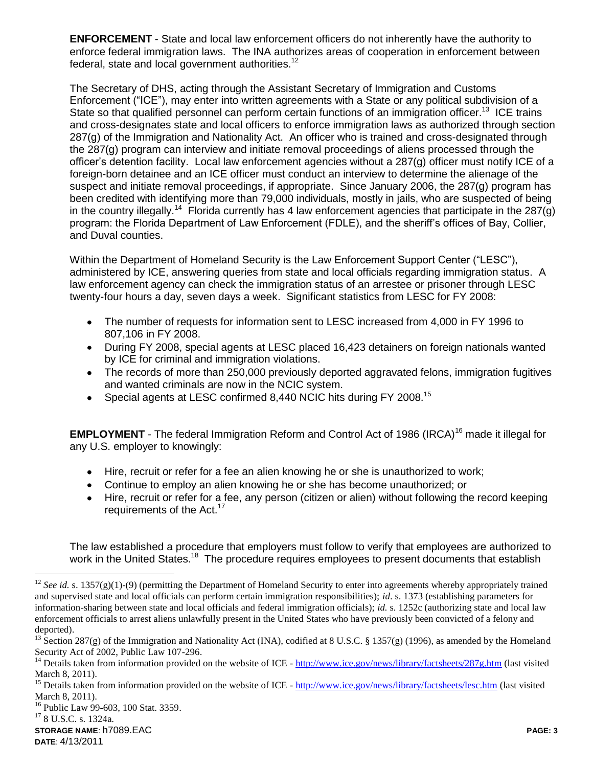**ENFORCEMENT** - State and local law enforcement officers do not inherently have the authority to enforce federal immigration laws. The INA authorizes areas of cooperation in enforcement between federal, state and local government authorities.<sup>12</sup>

The Secretary of DHS, acting through the Assistant Secretary of Immigration and Customs Enforcement ("ICE"), may enter into written agreements with a State or any political subdivision of a State so that qualified personnel can perform certain functions of an immigration officer.<sup>13</sup> ICE trains and cross-designates state and local officers to enforce immigration laws as authorized through section 287(g) of the Immigration and Nationality Act. An officer who is trained and cross-designated through the 287(g) program can interview and initiate removal proceedings of aliens processed through the officer's detention facility. Local law enforcement agencies without a 287(g) officer must notify ICE of a foreign-born detainee and an ICE officer must conduct an interview to determine the alienage of the suspect and initiate removal proceedings, if appropriate. Since January 2006, the 287(g) program has been credited with identifying more than 79,000 individuals, mostly in jails, who are suspected of being in the country illegally.<sup>14</sup> Florida currently has 4 law enforcement agencies that participate in the 287(g) program: the Florida Department of Law Enforcement (FDLE), and the sheriff's offices of Bay, Collier, and Duval counties.

Within the Department of Homeland Security is the Law Enforcement Support Center ("LESC"), administered by ICE, answering queries from state and local officials regarding immigration status. A law enforcement agency can check the immigration status of an arrestee or prisoner through LESC twenty-four hours a day, seven days a week. Significant statistics from LESC for FY 2008:

- The number of requests for information sent to LESC increased from 4,000 in FY 1996 to 807,106 in FY 2008.
- During FY 2008, special agents at LESC placed 16,423 detainers on foreign nationals wanted by ICE for criminal and immigration violations.
- The records of more than 250,000 previously deported aggravated felons, immigration fugitives and wanted criminals are now in the NCIC system.
- Special agents at LESC confirmed 8,440 NCIC hits during FY 2008.<sup>15</sup>

**EMPLOYMENT** - The federal Immigration Reform and Control Act of 1986 (IRCA)<sup>16</sup> made it illegal for any U.S. employer to knowingly:

- Hire, recruit or refer for a fee an alien knowing he or she is unauthorized to work;
- Continue to employ an alien knowing he or she has become unauthorized; or
- Hire, recruit or refer for a fee, any person (citizen or alien) without following the record keeping requirements of the Act.<sup>17</sup>

The law established a procedure that employers must follow to verify that employees are authorized to work in the United States.<sup>18</sup> The procedure requires employees to present documents that establish

<sup>&</sup>lt;sup>12</sup> *See id.* s. 1357(g)(1)-(9) (permitting the Department of Homeland Security to enter into agreements whereby appropriately trained and supervised state and local officials can perform certain immigration responsibilities); *id*. s. 1373 (establishing parameters for information-sharing between state and local officials and federal immigration officials); *id.* s. 1252c (authorizing state and local law enforcement officials to arrest aliens unlawfully present in the United States who have previously been convicted of a felony and deported).

<sup>&</sup>lt;sup>13</sup> Section 287(g) of the Immigration and Nationality Act (INA), codified at 8 U.S.C. § 1357(g) (1996), as amended by the Homeland Security Act of 2002, Public Law 107-296.

<sup>&</sup>lt;sup>14</sup> Details taken from information provided on the website of ICE -  $\frac{http://www.ice.gov/news/library/factsheets/287g.htm}{http://www.ice.gov/news/library/factsheets/287g.htm}$  $\frac{http://www.ice.gov/news/library/factsheets/287g.htm}{http://www.ice.gov/news/library/factsheets/287g.htm}$  $\frac{http://www.ice.gov/news/library/factsheets/287g.htm}{http://www.ice.gov/news/library/factsheets/287g.htm}$  (last visited March 8, 2011).

<sup>&</sup>lt;sup>15</sup> Details taken from information provided on the website of ICE - <http://www.ice.gov/news/library/factsheets/lesc.htm> (last visited March 8, 2011).

<sup>&</sup>lt;sup>16</sup> Public Law 99-603, 100 Stat. 3359.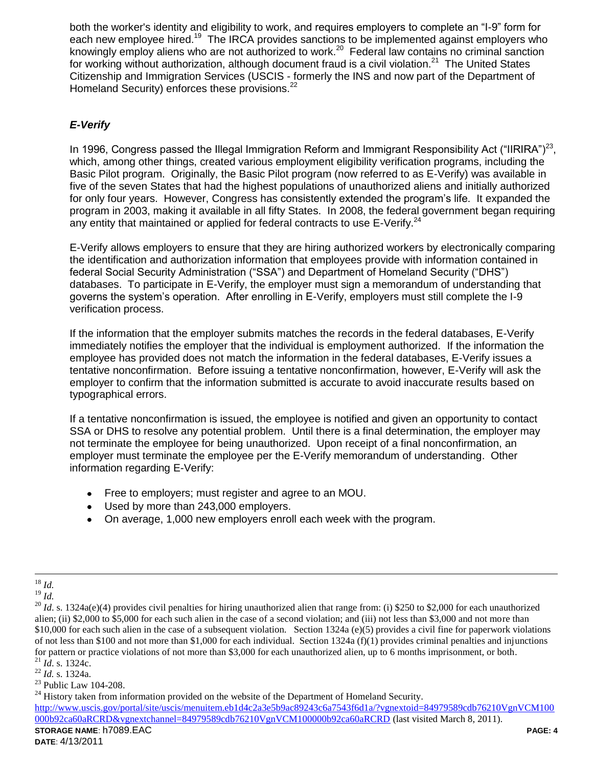both the worker's identity and eligibility to work, and requires employers to complete an "I-9" form for each new employee hired.<sup>19</sup> The IRCA provides sanctions to be implemented against employers who knowingly employ aliens who are not authorized to work.<sup>20</sup> Federal law contains no criminal sanction for working without authorization, although document fraud is a civil violation.<sup>21</sup> The United States Citizenship and Immigration Services (USCIS - formerly the INS and now part of the Department of Homeland Security) enforces these provisions.<sup>22</sup>

# *E-Verify*

In 1996, Congress passed the Illegal Immigration Reform and Immigrant Responsibility Act ("IIRIRA")<sup>23</sup>, which, among other things, created various employment eligibility verification programs, including the Basic Pilot program. Originally, the Basic Pilot program (now referred to as E-Verify) was available in five of the seven States that had the highest populations of unauthorized aliens and initially authorized for only four years. However, Congress has consistently extended the program's life. It expanded the program in 2003, making it available in all fifty States. In 2008, the federal government began requiring any entity that maintained or applied for federal contracts to use  $E$ -Verify.<sup>24</sup>

E-Verify allows employers to ensure that they are hiring authorized workers by electronically comparing the identification and authorization information that employees provide with information contained in federal Social Security Administration ("SSA") and Department of Homeland Security ("DHS") databases. To participate in E-Verify, the employer must sign a memorandum of understanding that governs the system's operation. After enrolling in E-Verify, employers must still complete the I-9 verification process.

If the information that the employer submits matches the records in the federal databases, E-Verify immediately notifies the employer that the individual is employment authorized. If the information the employee has provided does not match the information in the federal databases, E-Verify issues a tentative nonconfirmation. Before issuing a tentative nonconfirmation, however, E-Verify will ask the employer to confirm that the information submitted is accurate to avoid inaccurate results based on typographical errors.

If a tentative nonconfirmation is issued, the employee is notified and given an opportunity to contact SSA or DHS to resolve any potential problem. Until there is a final determination, the employer may not terminate the employee for being unauthorized. Upon receipt of a final nonconfirmation, an employer must terminate the employee per the E-Verify memorandum of understanding. Other information regarding E-Verify:

- Free to employers; must register and agree to an MOU.
- Used by more than 243,000 employers.
- On average, 1,000 new employers enroll each week with the program.

 $\overline{a}$ <sup>18</sup> *Id.*

 $^{19}$  *Id.* 

 $^{20}$  *Id.* s. 1324a(e)(4) provides civil penalties for hiring unauthorized alien that range from: (i) \$250 to \$2,000 for each unauthorized alien; (ii) \$2,000 to \$5,000 for each such alien in the case of a second violation; and (iii) not less than \$3,000 and not more than \$10,000 for each such alien in the case of a subsequent violation. Section 1324a (e)(5) provides a civil fine for paperwork violations of not less than \$100 and not more than \$1,000 for each individual. Section  $1324a(f)(1)$  provides criminal penalties and injunctions for pattern or practice violations of not more than \$3,000 for each unauthorized alien, up to 6 months imprisonment, or both. <sup>21</sup> *Id*. s. 1324c.

<sup>22</sup> *Id.* s. 1324a.

<sup>23</sup> Public Law 104-208.

 $24$  History taken from information provided on the website of the Department of Homeland Security.

**STORAGE NAME**: h7089.EAC **PAGE: 4** [http://www.uscis.gov/portal/site/uscis/menuitem.eb1d4c2a3e5b9ac89243c6a7543f6d1a/?vgnextoid=84979589cdb76210VgnVCM100](http://www.uscis.gov/portal/site/uscis/menuitem.eb1d4c2a3e5b9ac89243c6a7543f6d1a/?vgnextoid=84979589cdb76210VgnVCM100000b92ca60aRCRD&vgnextchannel=84979589cdb76210VgnVCM100000b92ca60aRCRD) [000b92ca60aRCRD&vgnextchannel=84979589cdb76210VgnVCM100000b92ca60aRCRD](http://www.uscis.gov/portal/site/uscis/menuitem.eb1d4c2a3e5b9ac89243c6a7543f6d1a/?vgnextoid=84979589cdb76210VgnVCM100000b92ca60aRCRD&vgnextchannel=84979589cdb76210VgnVCM100000b92ca60aRCRD) (last visited March 8, 2011).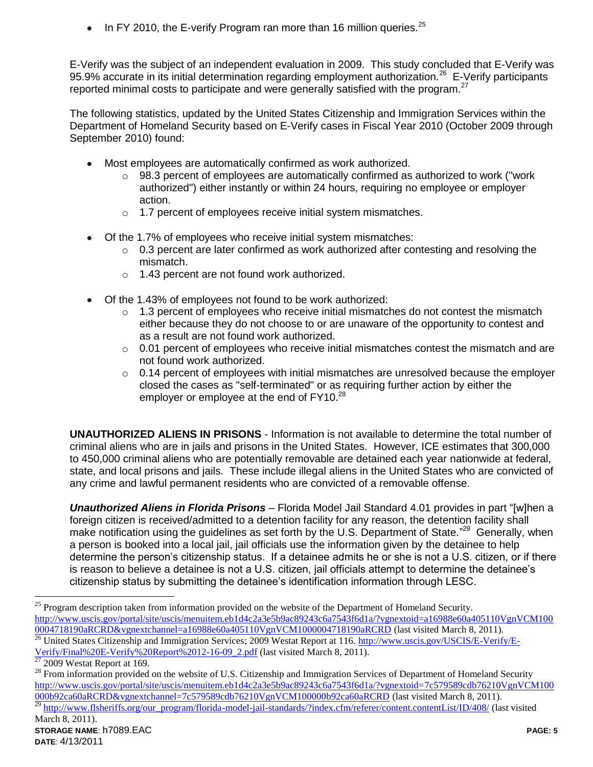In FY 2010, the E-verify Program ran more than 16 million queries.<sup>25</sup>

E-Verify was the subject of an independent evaluation in 2009. This study concluded that E-Verify was 95.9% accurate in its initial determination regarding employment authorization.<sup>26</sup> E-Verify participants reported minimal costs to participate and were generally satisfied with the program. $^{27}$ 

The following statistics, updated by the United States Citizenship and Immigration Services within the Department of Homeland Security based on E-Verify cases in Fiscal Year 2010 (October 2009 through September 2010) found:

- Most employees are automatically confirmed as work authorized.
	- $\circ$  98.3 percent of employees are automatically confirmed as authorized to work ("work authorized") either instantly or within 24 hours, requiring no employee or employer action.
	- o 1.7 percent of employees receive initial system mismatches.
- Of the 1.7% of employees who receive initial system mismatches:
	- $\circ$  0.3 percent are later confirmed as work authorized after contesting and resolving the mismatch.
	- o 1.43 percent are not found work authorized.
- Of the 1.43% of employees not found to be work authorized:
	- $\circ$  1.3 percent of employees who receive initial mismatches do not contest the mismatch either because they do not choose to or are unaware of the opportunity to contest and as a result are not found work authorized.
	- $\circ$  0.01 percent of employees who receive initial mismatches contest the mismatch and are not found work authorized.
	- $\circ$  0.14 percent of employees with initial mismatches are unresolved because the employer closed the cases as "self-terminated" or as requiring further action by either the employer or employee at the end of  $FY10.<sup>28</sup>$

**UNAUTHORIZED ALIENS IN PRISONS** - Information is not available to determine the total number of criminal aliens who are in jails and prisons in the United States. However, ICE estimates that 300,000 to 450,000 criminal aliens who are potentially removable are detained each year nationwide at federal, state, and local prisons and jails. These include illegal aliens in the United States who are convicted of any crime and lawful permanent residents who are convicted of a removable offense.

*Unauthorized Aliens in Florida Prisons* – Florida Model Jail Standard 4.01 provides in part "[w]hen a foreign citizen is received/admitted to a detention facility for any reason, the detention facility shall make notification using the guidelines as set forth by the U.S. Department of State."<sup>29</sup> Generally, when a person is booked into a local jail, jail officials use the information given by the detainee to help determine the person's citizenship status. If a detainee admits he or she is not a U.S. citizen, or if there is reason to believe a detainee is not a U.S. citizen, jail officials attempt to determine the detainee's citizenship status by submitting the detainee's identification information through LESC.

 $\overline{a}$ <sup>25</sup> Program description taken from information provided on the website of the Department of Homeland Security. [http://www.uscis.gov/portal/site/uscis/menuitem.eb1d4c2a3e5b9ac89243c6a7543f6d1a/?vgnextoid=a16988e60a405110VgnVCM100](http://www.uscis.gov/portal/site/uscis/menuitem.eb1d4c2a3e5b9ac89243c6a7543f6d1a/?vgnextoid=a16988e60a405110VgnVCM1000004718190aRCRD&vgnextchannel=a16988e60a405110VgnVCM1000004718190aRCRD) [0004718190aRCRD&vgnextchannel=a16988e60a405110VgnVCM1000004718190aRCRD](http://www.uscis.gov/portal/site/uscis/menuitem.eb1d4c2a3e5b9ac89243c6a7543f6d1a/?vgnextoid=a16988e60a405110VgnVCM1000004718190aRCRD&vgnextchannel=a16988e60a405110VgnVCM1000004718190aRCRD) (last visited March 8, 2011). <sup>26</sup> United States Citizenship and Immigration Services; 2009 Westat Report at 116. [http://www.uscis.gov/USCIS/E-Verify/E-](http://www.uscis.gov/USCIS/E-Verify/E-Verify/Final%20E-Verify%20Report%2012-16-09_2.pdf)

[Verify/Final%20E-Verify%20Report%2012-16-09\\_2.pdf](http://www.uscis.gov/USCIS/E-Verify/E-Verify/Final%20E-Verify%20Report%2012-16-09_2.pdf) (last visited March 8, 2011).<br> $\frac{27,0000 \text{ Westet } R}{27,0000 \text{ Westet } R}$ 

<sup>2009</sup> Westat Report at 169.

 $^{28}$  From information provided on the website of U.S. Citizenship and Immigration Services of Department of Homeland Security [http://www.uscis.gov/portal/site/uscis/menuitem.eb1d4c2a3e5b9ac89243c6a7543f6d1a/?vgnextoid=7c579589cdb76210VgnVCM100](http://www.uscis.gov/portal/site/uscis/menuitem.eb1d4c2a3e5b9ac89243c6a7543f6d1a/?vgnextoid=7c579589cdb76210VgnVCM100000b92ca60aRCRD&vgnextchannel=7c579589cdb76210VgnVCM100000b92ca60aRCRD) [000b92ca60aRCRD&vgnextchannel=7c579589cdb76210VgnVCM100000b92ca60aRCRD](http://www.uscis.gov/portal/site/uscis/menuitem.eb1d4c2a3e5b9ac89243c6a7543f6d1a/?vgnextoid=7c579589cdb76210VgnVCM100000b92ca60aRCRD&vgnextchannel=7c579589cdb76210VgnVCM100000b92ca60aRCRD) (last visited March 8, 2011).<br><sup>29</sup> http://www.fleberiffe.org/our.program/florida.model.jpil.standarde/?index.ofm/raferer/content\_ist/ID/408/ (last <sup>29</sup> [http://www.flsheriffs.org/our\\_program/florida-model-jail-standards/?index.cfm/referer/content.contentList/ID/408/](http://www.flsheriffs.org/our_program/florida-model-jail-standards/?index.cfm/referer/content.contentList/ID/408/) (last visited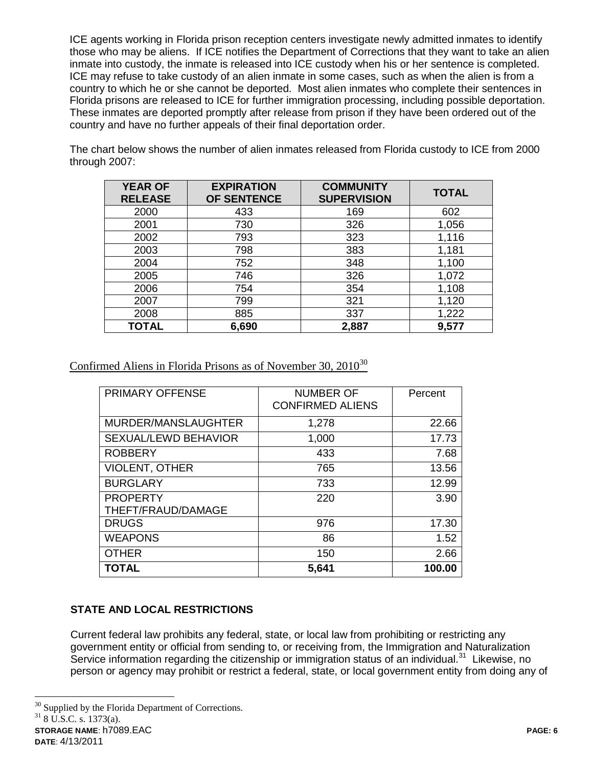ICE agents working in Florida prison reception centers investigate newly admitted inmates to identify those who may be aliens. If ICE notifies the Department of Corrections that they want to take an alien inmate into custody, the inmate is released into ICE custody when his or her sentence is completed. ICE may refuse to take custody of an alien inmate in some cases, such as when the alien is from a country to which he or she cannot be deported. Most alien inmates who complete their sentences in Florida prisons are released to ICE for further immigration processing, including possible deportation. These inmates are deported promptly after release from prison if they have been ordered out of the country and have no further appeals of their final deportation order.

The chart below shows the number of alien inmates released from Florida custody to ICE from 2000 through 2007:

| <b>YEAR OF</b><br><b>RELEASE</b> | <b>EXPIRATION</b><br><b>OF SENTENCE</b> | <b>COMMUNITY</b><br><b>SUPERVISION</b> | <b>TOTAL</b> |
|----------------------------------|-----------------------------------------|----------------------------------------|--------------|
| 2000                             | 433                                     | 169                                    | 602          |
| 2001                             | 730                                     | 326                                    | 1,056        |
| 2002                             | 793                                     | 323                                    | 1,116        |
| 2003                             | 798                                     | 383                                    | 1,181        |
| 2004                             | 752                                     | 348                                    | 1,100        |
| 2005                             | 746                                     | 326                                    | 1,072        |
| 2006                             | 754                                     | 354                                    | 1,108        |
| 2007                             | 799                                     | 321                                    | 1,120        |
| 2008                             | 885                                     | 337                                    | 1,222        |
| <b>TOTAL</b>                     | 6,690                                   | 2,887                                  | 9,577        |

Confirmed Aliens in Florida Prisons as of November 30,  $2010^{30}$ 

| <b>PRIMARY OFFENSE</b> | <b>NUMBER OF</b><br><b>CONFIRMED ALIENS</b> | Percent |
|------------------------|---------------------------------------------|---------|
| MURDER/MANSLAUGHTER    | 1,278                                       | 22.66   |
| SEXUAL/LEWD BEHAVIOR   | 1,000                                       | 17.73   |
| <b>ROBBERY</b>         | 433                                         | 7.68    |
| VIOLENT, OTHER         | 765                                         | 13.56   |
| <b>BURGLARY</b>        | 733                                         | 12.99   |
| <b>PROPERTY</b>        | 220                                         | 3.90    |
| THEFT/FRAUD/DAMAGE     |                                             |         |
| <b>DRUGS</b>           | 976                                         | 17.30   |
| <b>WEAPONS</b>         | 86                                          | 1.52    |
| <b>OTHER</b>           | 150                                         | 2.66    |
| <b>TOTAL</b>           | 5,641                                       | 100.00  |

# **STATE AND LOCAL RESTRICTIONS**

Current federal law prohibits any federal, state, or local law from prohibiting or restricting any government entity or official from sending to, or receiving from, the Immigration and Naturalization Service information regarding the citizenship or immigration status of an individual.<sup>31</sup> Likewise, no person or agency may prohibit or restrict a federal, state, or local government entity from doing any of

**STORAGE NAME**: h7089.EAC **PAGE: 6**  $\overline{a}$ <sup>30</sup> Supplied by the Florida Department of Corrections.  $318 \overline{U}$ .S.C. s. 1373(a).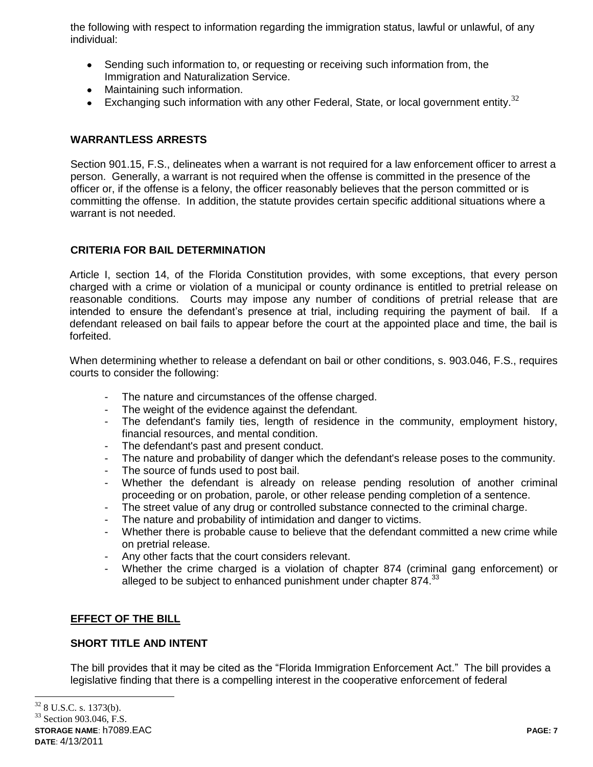the following with respect to information regarding the immigration status, lawful or unlawful, of any individual:

- Sending such information to, or requesting or receiving such information from, the Immigration and Naturalization Service.
- Maintaining such information.
- Exchanging such information with any other Federal, State, or local government entity.<sup>32</sup>

## **WARRANTLESS ARRESTS**

Section 901.15, F.S., delineates when a warrant is not required for a law enforcement officer to arrest a person. Generally, a warrant is not required when the offense is committed in the presence of the officer or, if the offense is a felony, the officer reasonably believes that the person committed or is committing the offense. In addition, the statute provides certain specific additional situations where a warrant is not needed.

### **CRITERIA FOR BAIL DETERMINATION**

Article I, section 14, of the Florida Constitution provides, with some exceptions, that every person charged with a crime or violation of a municipal or county ordinance is entitled to pretrial release on reasonable conditions. Courts may impose any number of conditions of pretrial release that are intended to ensure the defendant's presence at trial, including requiring the payment of bail. If a defendant released on bail fails to appear before the court at the appointed place and time, the bail is forfeited.

When determining whether to release a defendant on bail or other conditions, s. 903.046, F.S., requires courts to consider the following:

- The nature and circumstances of the offense charged.
- The weight of the evidence against the defendant.
- The defendant's family ties, length of residence in the community, employment history, financial resources, and mental condition.
- The defendant's past and present conduct.
- The nature and probability of danger which the defendant's release poses to the community.
- The source of funds used to post bail.
- Whether the defendant is already on release pending resolution of another criminal proceeding or on probation, parole, or other release pending completion of a sentence.
- The street value of any drug or controlled substance connected to the criminal charge.
- The nature and probability of intimidation and danger to victims.
- Whether there is probable cause to believe that the defendant committed a new crime while on pretrial release.
- Any other facts that the court considers relevant.
- Whether the crime charged is a violation of chapter 874 (criminal gang enforcement) or alleged to be subject to enhanced punishment under chapter  $874.<sup>33</sup>$

### **EFFECT OF THE BILL**

### **SHORT TITLE AND INTENT**

The bill provides that it may be cited as the "Florida Immigration Enforcement Act." The bill provides a legislative finding that there is a compelling interest in the cooperative enforcement of federal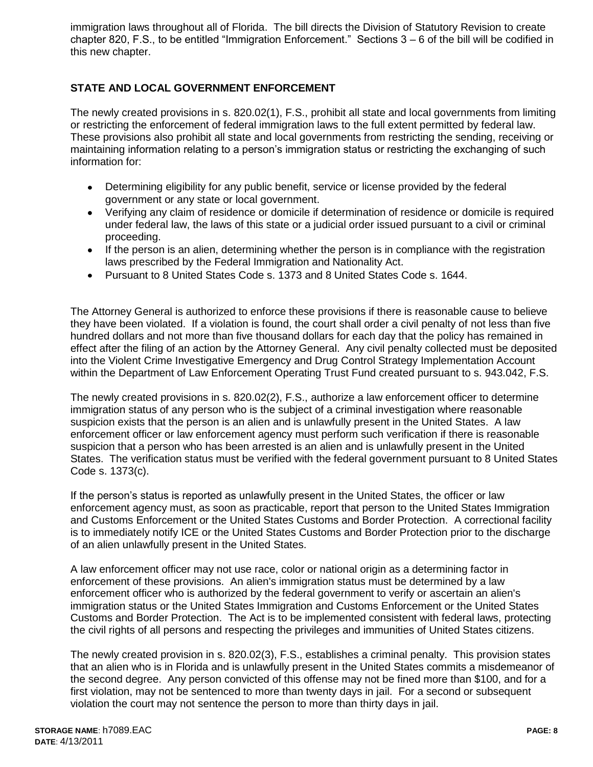immigration laws throughout all of Florida. The bill directs the Division of Statutory Revision to create chapter 820, F.S., to be entitled "Immigration Enforcement." Sections 3 – 6 of the bill will be codified in this new chapter.

# **STATE AND LOCAL GOVERNMENT ENFORCEMENT**

The newly created provisions in s. 820.02(1), F.S., prohibit all state and local governments from limiting or restricting the enforcement of federal immigration laws to the full extent permitted by federal law. These provisions also prohibit all state and local governments from restricting the sending, receiving or maintaining information relating to a person's immigration status or restricting the exchanging of such information for:

- Determining eligibility for any public benefit, service or license provided by the federal government or any state or local government.
- Verifying any claim of residence or domicile if determination of residence or domicile is required under federal law, the laws of this state or a judicial order issued pursuant to a civil or criminal proceeding.
- If the person is an alien, determining whether the person is in compliance with the registration laws prescribed by the Federal Immigration and Nationality Act.
- Pursuant to 8 United States Code s. 1373 and 8 United States Code s. 1644.

The Attorney General is authorized to enforce these provisions if there is reasonable cause to believe they have been violated. If a violation is found, the court shall order a civil penalty of not less than five hundred dollars and not more than five thousand dollars for each day that the policy has remained in effect after the filing of an action by the Attorney General. Any civil penalty collected must be deposited into the Violent Crime Investigative Emergency and Drug Control Strategy Implementation Account within the Department of Law Enforcement Operating Trust Fund created pursuant to s. 943.042, F.S.

The newly created provisions in s. 820.02(2), F.S., authorize a law enforcement officer to determine immigration status of any person who is the subject of a criminal investigation where reasonable suspicion exists that the person is an alien and is unlawfully present in the United States. A law enforcement officer or law enforcement agency must perform such verification if there is reasonable suspicion that a person who has been arrested is an alien and is unlawfully present in the United States. The verification status must be verified with the federal government pursuant to 8 United States Code s. 1373(c).

If the person's status is reported as unlawfully present in the United States, the officer or law enforcement agency must, as soon as practicable, report that person to the United States Immigration and Customs Enforcement or the United States Customs and Border Protection. A correctional facility is to immediately notify ICE or the United States Customs and Border Protection prior to the discharge of an alien unlawfully present in the United States.

A law enforcement officer may not use race, color or national origin as a determining factor in enforcement of these provisions. An alien's immigration status must be determined by a law enforcement officer who is authorized by the federal government to verify or ascertain an alien's immigration status or the United States Immigration and Customs Enforcement or the United States Customs and Border Protection. The Act is to be implemented consistent with federal laws, protecting the civil rights of all persons and respecting the privileges and immunities of United States citizens.

The newly created provision in s. 820.02(3), F.S., establishes a criminal penalty. This provision states that an alien who is in Florida and is unlawfully present in the United States commits a misdemeanor of the second degree. Any person convicted of this offense may not be fined more than \$100, and for a first violation, may not be sentenced to more than twenty days in jail. For a second or subsequent violation the court may not sentence the person to more than thirty days in jail.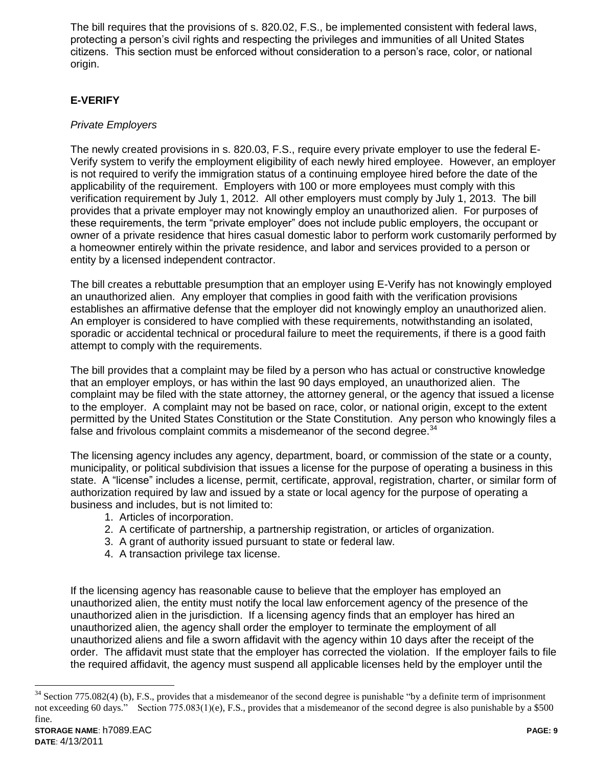The bill requires that the provisions of s. 820.02, F.S., be implemented consistent with federal laws, protecting a person's civil rights and respecting the privileges and immunities of all United States citizens. This section must be enforced without consideration to a person's race, color, or national origin.

## **E-VERIFY**

### *Private Employers*

The newly created provisions in s. 820.03, F.S., require every private employer to use the federal E-Verify system to verify the employment eligibility of each newly hired employee. However, an employer is not required to verify the immigration status of a continuing employee hired before the date of the applicability of the requirement. Employers with 100 or more employees must comply with this verification requirement by July 1, 2012. All other employers must comply by July 1, 2013. The bill provides that a private employer may not knowingly employ an unauthorized alien. For purposes of these requirements, the term "private employer" does not include public employers, the occupant or owner of a private residence that hires casual domestic labor to perform work customarily performed by a homeowner entirely within the private residence, and labor and services provided to a person or entity by a licensed independent contractor.

The bill creates a rebuttable presumption that an employer using E-Verify has not knowingly employed an unauthorized alien. Any employer that complies in good faith with the verification provisions establishes an affirmative defense that the employer did not knowingly employ an unauthorized alien. An employer is considered to have complied with these requirements, notwithstanding an isolated, sporadic or accidental technical or procedural failure to meet the requirements, if there is a good faith attempt to comply with the requirements.

The bill provides that a complaint may be filed by a person who has actual or constructive knowledge that an employer employs, or has within the last 90 days employed, an unauthorized alien. The complaint may be filed with the state attorney, the attorney general, or the agency that issued a license to the employer. A complaint may not be based on race, color, or national origin, except to the extent permitted by the United States Constitution or the State Constitution. Any person who knowingly files a false and frivolous complaint commits a misdemeanor of the second degree.<sup>34</sup>

The licensing agency includes any agency, department, board, or commission of the state or a county, municipality, or political subdivision that issues a license for the purpose of operating a business in this state. A "license" includes a license, permit, certificate, approval, registration, charter, or similar form of authorization required by law and issued by a state or local agency for the purpose of operating a business and includes, but is not limited to:

- 1. Articles of incorporation.
- 2. A certificate of partnership, a partnership registration, or articles of organization.
- 3. A grant of authority issued pursuant to state or federal law.
- 4. A transaction privilege tax license.

If the licensing agency has reasonable cause to believe that the employer has employed an unauthorized alien, the entity must notify the local law enforcement agency of the presence of the unauthorized alien in the jurisdiction. If a licensing agency finds that an employer has hired an unauthorized alien, the agency shall order the employer to terminate the employment of all unauthorized aliens and file a sworn affidavit with the agency within 10 days after the receipt of the order. The affidavit must state that the employer has corrected the violation. If the employer fails to file the required affidavit, the agency must suspend all applicable licenses held by the employer until the

 $\overline{a}$  $34$  Section 775.082(4) (b), F.S., provides that a misdemeanor of the second degree is punishable "by a definite term of imprisonment" not exceeding 60 days." Section 775.083(1)(e), F.S., provides that a misdemeanor of the second degree is also punishable by a \$500 fine.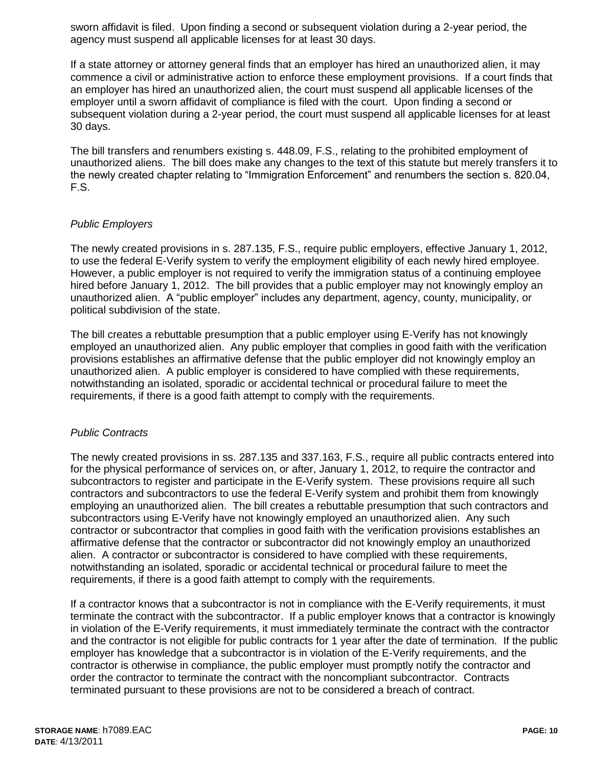sworn affidavit is filed. Upon finding a second or subsequent violation during a 2-year period, the agency must suspend all applicable licenses for at least 30 days.

If a state attorney or attorney general finds that an employer has hired an unauthorized alien, it may commence a civil or administrative action to enforce these employment provisions. If a court finds that an employer has hired an unauthorized alien, the court must suspend all applicable licenses of the employer until a sworn affidavit of compliance is filed with the court. Upon finding a second or subsequent violation during a 2-year period, the court must suspend all applicable licenses for at least 30 days.

The bill transfers and renumbers existing s. 448.09, F.S., relating to the prohibited employment of unauthorized aliens. The bill does make any changes to the text of this statute but merely transfers it to the newly created chapter relating to "Immigration Enforcement" and renumbers the section s. 820.04, F.S.

#### *Public Employers*

The newly created provisions in s. 287.135, F.S., require public employers, effective January 1, 2012, to use the federal E-Verify system to verify the employment eligibility of each newly hired employee. However, a public employer is not required to verify the immigration status of a continuing employee hired before January 1, 2012. The bill provides that a public employer may not knowingly employ an unauthorized alien. A "public employer" includes any department, agency, county, municipality, or political subdivision of the state.

The bill creates a rebuttable presumption that a public employer using E-Verify has not knowingly employed an unauthorized alien. Any public employer that complies in good faith with the verification provisions establishes an affirmative defense that the public employer did not knowingly employ an unauthorized alien. A public employer is considered to have complied with these requirements, notwithstanding an isolated, sporadic or accidental technical or procedural failure to meet the requirements, if there is a good faith attempt to comply with the requirements.

#### *Public Contracts*

The newly created provisions in ss. 287.135 and 337.163, F.S., require all public contracts entered into for the physical performance of services on, or after, January 1, 2012, to require the contractor and subcontractors to register and participate in the E-Verify system. These provisions require all such contractors and subcontractors to use the federal E-Verify system and prohibit them from knowingly employing an unauthorized alien. The bill creates a rebuttable presumption that such contractors and subcontractors using E-Verify have not knowingly employed an unauthorized alien. Any such contractor or subcontractor that complies in good faith with the verification provisions establishes an affirmative defense that the contractor or subcontractor did not knowingly employ an unauthorized alien. A contractor or subcontractor is considered to have complied with these requirements, notwithstanding an isolated, sporadic or accidental technical or procedural failure to meet the requirements, if there is a good faith attempt to comply with the requirements.

If a contractor knows that a subcontractor is not in compliance with the E-Verify requirements, it must terminate the contract with the subcontractor. If a public employer knows that a contractor is knowingly in violation of the E-Verify requirements, it must immediately terminate the contract with the contractor and the contractor is not eligible for public contracts for 1 year after the date of termination. If the public employer has knowledge that a subcontractor is in violation of the E-Verify requirements, and the contractor is otherwise in compliance, the public employer must promptly notify the contractor and order the contractor to terminate the contract with the noncompliant subcontractor. Contracts terminated pursuant to these provisions are not to be considered a breach of contract.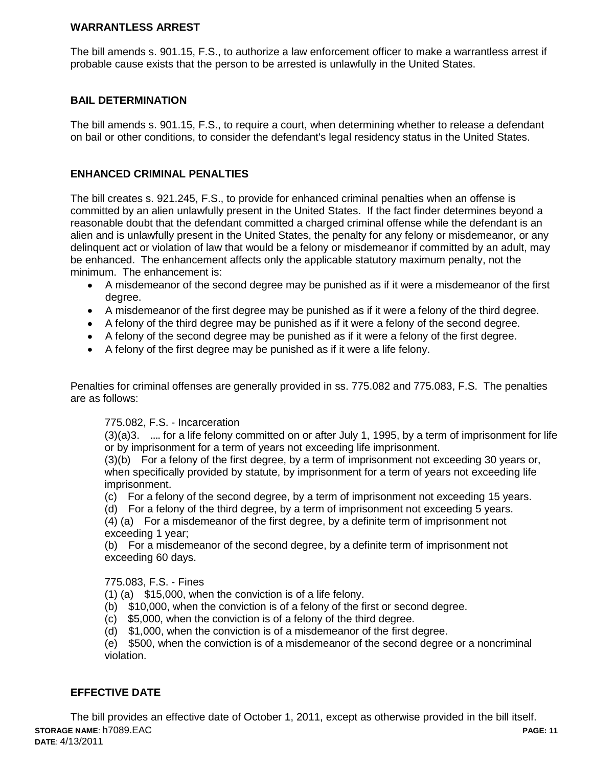### **WARRANTLESS ARREST**

The bill amends s. 901.15, F.S., to authorize a law enforcement officer to make a warrantless arrest if probable cause exists that the person to be arrested is unlawfully in the United States.

#### **BAIL DETERMINATION**

The bill amends s. 901.15, F.S., to require a court, when determining whether to release a defendant on bail or other conditions, to consider the defendant's legal residency status in the United States.

#### **ENHANCED CRIMINAL PENALTIES**

The bill creates s. 921.245, F.S., to provide for enhanced criminal penalties when an offense is committed by an alien unlawfully present in the United States. If the fact finder determines beyond a reasonable doubt that the defendant committed a charged criminal offense while the defendant is an alien and is unlawfully present in the United States, the penalty for any felony or misdemeanor, or any delinquent act or violation of law that would be a felony or misdemeanor if committed by an adult, may be enhanced. The enhancement affects only the applicable statutory maximum penalty, not the minimum. The enhancement is:

- A misdemeanor of the second degree may be punished as if it were a misdemeanor of the first degree.
- A misdemeanor of the first degree may be punished as if it were a felony of the third degree.
- A felony of the third degree may be punished as if it were a felony of the second degree.
- A felony of the second degree may be punished as if it were a felony of the first degree.
- A felony of the first degree may be punished as if it were a life felony.

Penalties for criminal offenses are generally provided in ss. 775.082 and 775.083, F.S. The penalties are as follows:

#### 775.082, F.S. - Incarceration

(3)(a)3. …. for a life felony committed on or after July 1, 1995, by a term of imprisonment for life or by imprisonment for a term of years not exceeding life imprisonment.

(3)(b) For a felony of the first degree, by a term of imprisonment not exceeding 30 years or, when specifically provided by statute, by imprisonment for a term of years not exceeding life imprisonment.

(c) For a felony of the second degree, by a term of imprisonment not exceeding 15 years.

(d) For a felony of the third degree, by a term of imprisonment not exceeding 5 years.

(4) (a) For a misdemeanor of the first degree, by a definite term of imprisonment not exceeding 1 year;

(b) For a misdemeanor of the second degree, by a definite term of imprisonment not exceeding 60 days.

#### 775.083, F.S. - Fines

(1) (a) \$15,000, when the conviction is of a life felony.

- (b) \$10,000, when the conviction is of a felony of the first or second degree.
- (c) \$5,000, when the conviction is of a felony of the third degree.
- (d) \$1,000, when the conviction is of a misdemeanor of the first degree.

(e) \$500, when the conviction is of a misdemeanor of the second degree or a noncriminal violation.

### **EFFECTIVE DATE**

**STORAGE NAME**: h7089.EAC **PAGE: 11 DATE**: 4/13/2011 The bill provides an effective date of October 1, 2011, except as otherwise provided in the bill itself.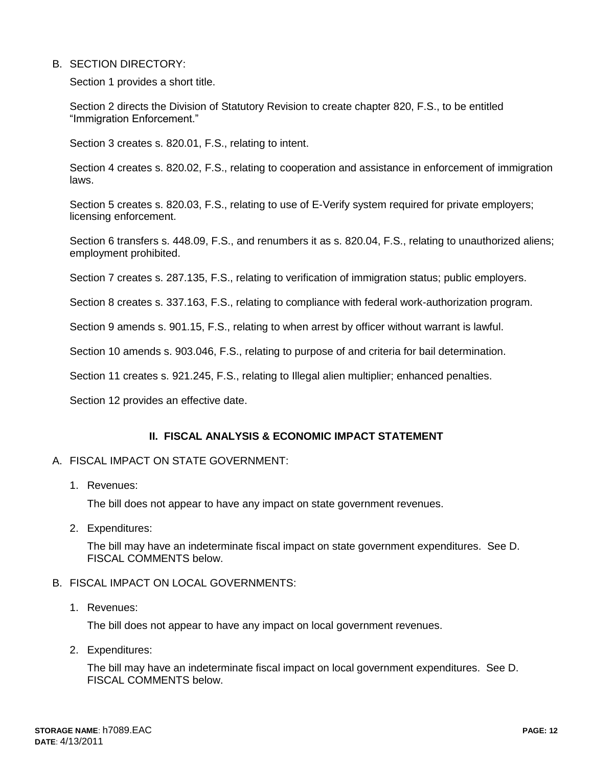### B. SECTION DIRECTORY:

Section 1 provides a short title.

Section 2 directs the Division of Statutory Revision to create chapter 820, F.S., to be entitled "Immigration Enforcement."

Section 3 creates s. 820.01, F.S., relating to intent.

Section 4 creates s. 820.02, F.S., relating to cooperation and assistance in enforcement of immigration laws.

Section 5 creates s. 820.03, F.S., relating to use of E-Verify system required for private employers; licensing enforcement.

Section 6 transfers s. 448.09, F.S., and renumbers it as s. 820.04, F.S., relating to unauthorized aliens; employment prohibited.

Section 7 creates s. 287.135, F.S., relating to verification of immigration status; public employers.

Section 8 creates s. 337.163, F.S., relating to compliance with federal work-authorization program.

Section 9 amends s. 901.15, F.S., relating to when arrest by officer without warrant is lawful.

Section 10 amends s. 903.046, F.S., relating to purpose of and criteria for bail determination.

Section 11 creates s. 921.245, F.S., relating to Illegal alien multiplier; enhanced penalties.

Section 12 provides an effective date.

#### **II. FISCAL ANALYSIS & ECONOMIC IMPACT STATEMENT**

#### A. FISCAL IMPACT ON STATE GOVERNMENT:

1. Revenues:

The bill does not appear to have any impact on state government revenues.

2. Expenditures:

The bill may have an indeterminate fiscal impact on state government expenditures. See D. FISCAL COMMENTS below.

### B. FISCAL IMPACT ON LOCAL GOVERNMENTS:

1. Revenues:

The bill does not appear to have any impact on local government revenues.

2. Expenditures:

The bill may have an indeterminate fiscal impact on local government expenditures. See D. FISCAL COMMENTS below.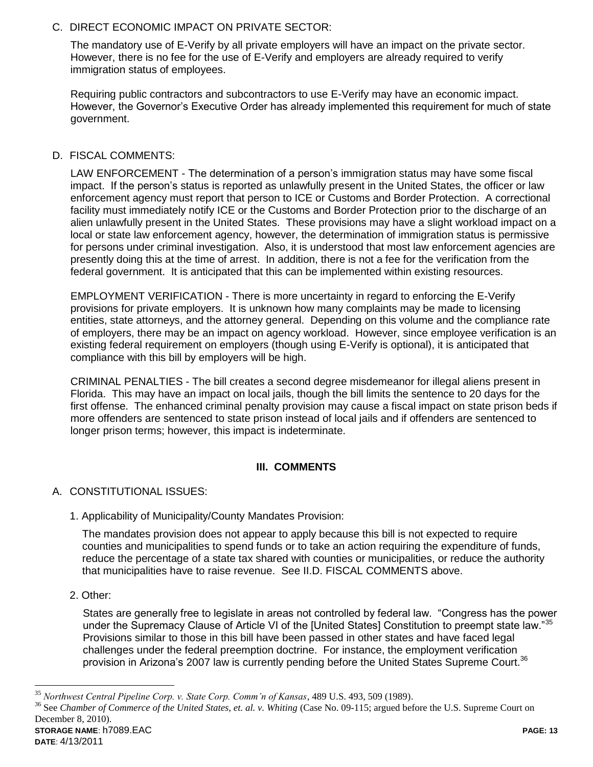## C. DIRECT ECONOMIC IMPACT ON PRIVATE SECTOR:

The mandatory use of E-Verify by all private employers will have an impact on the private sector. However, there is no fee for the use of E-Verify and employers are already required to verify immigration status of employees.

Requiring public contractors and subcontractors to use E-Verify may have an economic impact. However, the Governor's Executive Order has already implemented this requirement for much of state government.

## D. FISCAL COMMENTS:

LAW ENFORCEMENT - The determination of a person's immigration status may have some fiscal impact. If the person's status is reported as unlawfully present in the United States, the officer or law enforcement agency must report that person to ICE or Customs and Border Protection. A correctional facility must immediately notify ICE or the Customs and Border Protection prior to the discharge of an alien unlawfully present in the United States. These provisions may have a slight workload impact on a local or state law enforcement agency, however, the determination of immigration status is permissive for persons under criminal investigation. Also, it is understood that most law enforcement agencies are presently doing this at the time of arrest. In addition, there is not a fee for the verification from the federal government. It is anticipated that this can be implemented within existing resources.

EMPLOYMENT VERIFICATION - There is more uncertainty in regard to enforcing the E-Verify provisions for private employers. It is unknown how many complaints may be made to licensing entities, state attorneys, and the attorney general. Depending on this volume and the compliance rate of employers, there may be an impact on agency workload. However, since employee verification is an existing federal requirement on employers (though using E-Verify is optional), it is anticipated that compliance with this bill by employers will be high.

CRIMINAL PENALTIES - The bill creates a second degree misdemeanor for illegal aliens present in Florida. This may have an impact on local jails, though the bill limits the sentence to 20 days for the first offense. The enhanced criminal penalty provision may cause a fiscal impact on state prison beds if more offenders are sentenced to state prison instead of local jails and if offenders are sentenced to longer prison terms; however, this impact is indeterminate.

## **III. COMMENTS**

### A. CONSTITUTIONAL ISSUES:

1. Applicability of Municipality/County Mandates Provision:

The mandates provision does not appear to apply because this bill is not expected to require counties and municipalities to spend funds or to take an action requiring the expenditure of funds, reduce the percentage of a state tax shared with counties or municipalities, or reduce the authority that municipalities have to raise revenue. See II.D. FISCAL COMMENTS above.

2. Other:

States are generally free to legislate in areas not controlled by federal law. "Congress has the power under the Supremacy Clause of Article VI of the [United States] Constitution to preempt state law."<sup>35</sup> Provisions similar to those in this bill have been passed in other states and have faced legal challenges under the federal preemption doctrine. For instance, the employment verification provision in Arizona's 2007 law is currently pending before the United States Supreme Court.<sup>36</sup>

<sup>35</sup> *Northwest Central Pipeline Corp. v. State Corp. Comm'n of Kansas*, 489 U.S. 493, 509 (1989).

**STORAGE NAME**: h7089.EAC **PAGE: 13** <sup>36</sup> See *Chamber of Commerce of the United States, et. al. v. Whiting* (Case No. 09-115; argued before the U.S. Supreme Court on December 8, 2010).